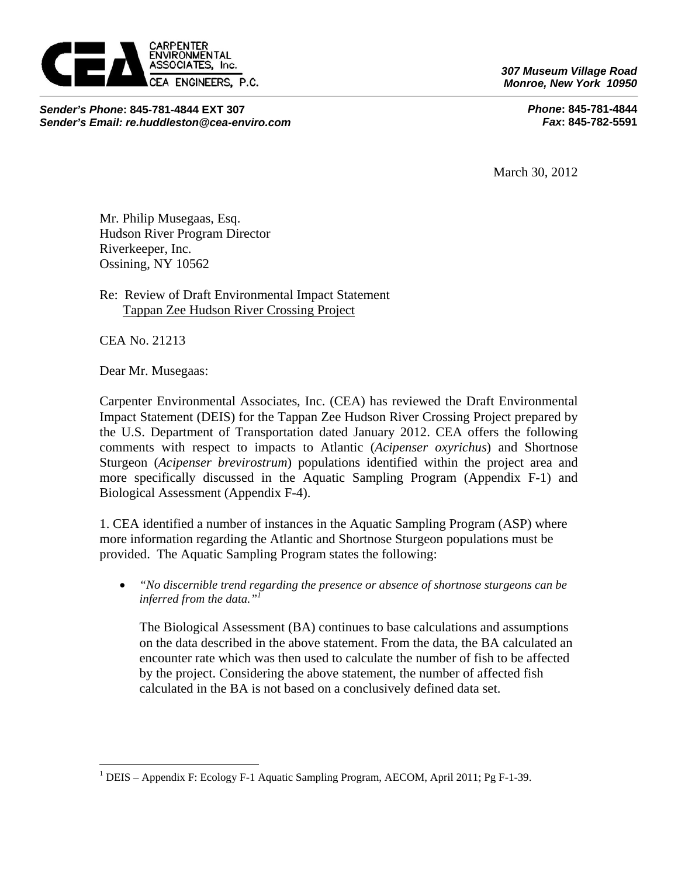

*Sender's Phone***: 845-781-4844 EXT 307**  *Sender's Email: re.huddleston@cea-enviro.com* *307 Museum Village Road Monroe, New York 10950* 

> *Phone***: 845-781-4844**   *Fax***: 845-782-5591**

March 30, 2012

Mr. Philip Musegaas, Esq. Hudson River Program Director Riverkeeper, Inc. Ossining, NY 10562

Re: Review of Draft Environmental Impact Statement Tappan Zee Hudson River Crossing Project

CEA No. 21213

 $\overline{a}$ 

Dear Mr. Musegaas:

Carpenter Environmental Associates, Inc. (CEA) has reviewed the Draft Environmental Impact Statement (DEIS) for the Tappan Zee Hudson River Crossing Project prepared by the U.S. Department of Transportation dated January 2012. CEA offers the following comments with respect to impacts to Atlantic (*Acipenser oxyrichus*) and Shortnose Sturgeon (*Acipenser brevirostrum*) populations identified within the project area and more specifically discussed in the Aquatic Sampling Program (Appendix F-1) and Biological Assessment (Appendix F-4).

1. CEA identified a number of instances in the Aquatic Sampling Program (ASP) where more information regarding the Atlantic and Shortnose Sturgeon populations must be provided. The Aquatic Sampling Program states the following:

 *"No discernible trend regarding the presence or absence of shortnose sturgeons can be inferred from the data."1*

The Biological Assessment (BA) continues to base calculations and assumptions on the data described in the above statement. From the data, the BA calculated an encounter rate which was then used to calculate the number of fish to be affected by the project. Considering the above statement, the number of affected fish calculated in the BA is not based on a conclusively defined data set.

<sup>&</sup>lt;sup>1</sup> DEIS – Appendix F: Ecology F-1 Aquatic Sampling Program, AECOM, April 2011; Pg F-1-39.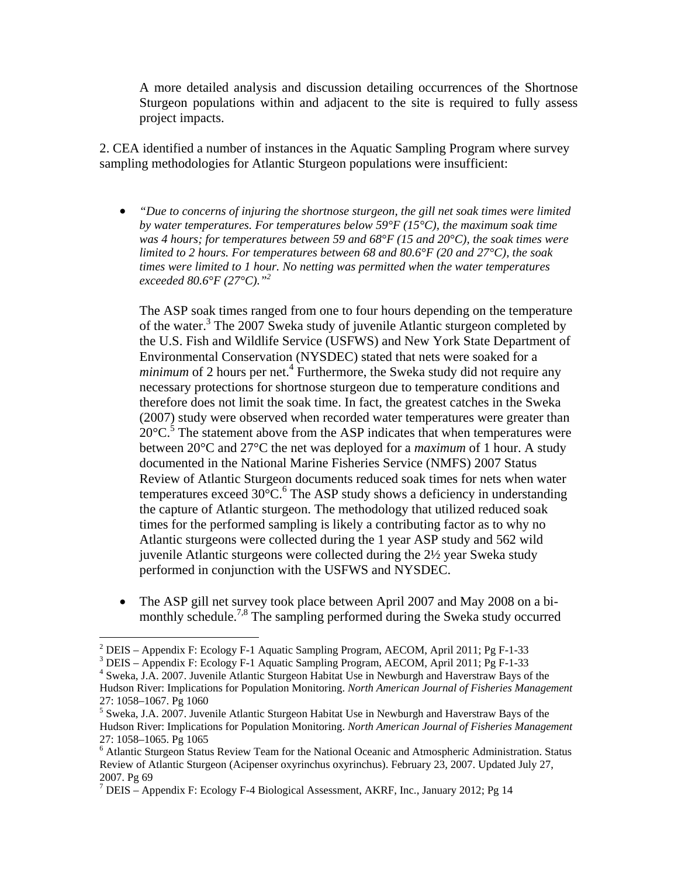A more detailed analysis and discussion detailing occurrences of the Shortnose Sturgeon populations within and adjacent to the site is required to fully assess project impacts.

2. CEA identified a number of instances in the Aquatic Sampling Program where survey sampling methodologies for Atlantic Sturgeon populations were insufficient:

 *"Due to concerns of injuring the shortnose sturgeon, the gill net soak times were limited by water temperatures. For temperatures below 59°F (15°C), the maximum soak time was 4 hours; for temperatures between 59 and 68°F (15 and 20°C), the soak times were limited to 2 hours. For temperatures between 68 and 80.6°F (20 and 27°C), the soak times were limited to 1 hour. No netting was permitted when the water temperatures exceeded 80.6°F (27°C)."2*

The ASP soak times ranged from one to four hours depending on the temperature of the water.<sup>3</sup> The 2007 Sweka study of juvenile Atlantic sturgeon completed by the U.S. Fish and Wildlife Service (USFWS) and New York State Department of Environmental Conservation (NYSDEC) stated that nets were soaked for a *minimum* of 2 hours per net.<sup>4</sup> Furthermore, the Sweka study did not require any necessary protections for shortnose sturgeon due to temperature conditions and therefore does not limit the soak time. In fact, the greatest catches in the Sweka (2007) study were observed when recorded water temperatures were greater than  $20^{\circ}$ C.<sup>5</sup> The statement above from the ASP indicates that when temperatures were between 20°C and 27°C the net was deployed for a *maximum* of 1 hour. A study documented in the National Marine Fisheries Service (NMFS) 2007 Status Review of Atlantic Sturgeon documents reduced soak times for nets when water temperatures exceed  $30^{\circ}$ C.<sup>6</sup> The ASP study shows a deficiency in understanding the capture of Atlantic sturgeon. The methodology that utilized reduced soak times for the performed sampling is likely a contributing factor as to why no Atlantic sturgeons were collected during the 1 year ASP study and 562 wild juvenile Atlantic sturgeons were collected during the 2½ year Sweka study performed in conjunction with the USFWS and NYSDEC.

 The ASP gill net survey took place between April 2007 and May 2008 on a bimonthly schedule.<sup>7,8</sup> The sampling performed during the Sweka study occurred

1

<sup>&</sup>lt;sup>2</sup> DEIS – Appendix F: Ecology F-1 Aquatic Sampling Program, AECOM, April 2011; Pg F-1-33

<sup>3</sup> DEIS – Appendix F: Ecology F-1 Aquatic Sampling Program, AECOM, April 2011; Pg F-1-33

<sup>4</sup> Sweka, J.A. 2007. Juvenile Atlantic Sturgeon Habitat Use in Newburgh and Haverstraw Bays of the Hudson River: Implications for Population Monitoring. *North American Journal of Fisheries Management* 

<sup>27: 1058–1067.</sup> Pg 1060

<sup>&</sup>lt;sup>5</sup> Sweka, J.A. 2007. Juvenile Atlantic Sturgeon Habitat Use in Newburgh and Haverstraw Bays of the Hudson River: Implications for Population Monitoring. *North American Journal of Fisheries Management*  27: 1058–1065. Pg 1065

<sup>&</sup>lt;sup>6</sup> Atlantic Sturgeon Status Review Team for the National Oceanic and Atmospheric Administration. Status Review of Atlantic Sturgeon (Acipenser oxyrinchus oxyrinchus). February 23, 2007. Updated July 27, 2007. Pg 69

<sup>&</sup>lt;sup>7</sup> DEIS – Appendix F: Ecology F-4 Biological Assessment, AKRF, Inc., January 2012; Pg 14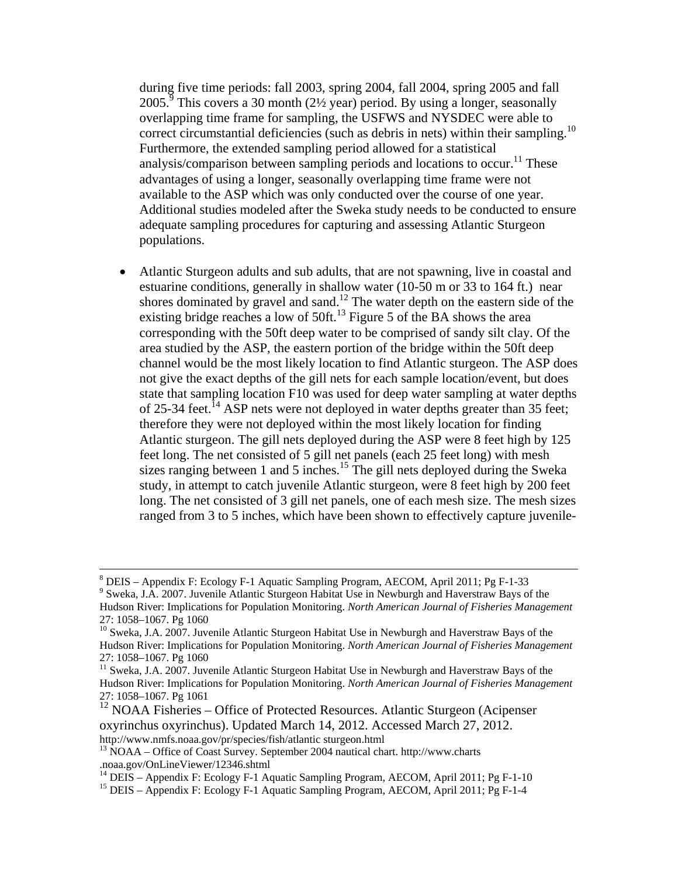during five time periods: fall 2003, spring 2004, fall 2004, spring 2005 and fall  $2005$ <sup>9</sup> This covers a 30 month (2½ year) period. By using a longer, seasonally overlapping time frame for sampling, the USFWS and NYSDEC were able to correct circumstantial deficiencies (such as debris in nets) within their sampling.<sup>10</sup> Furthermore, the extended sampling period allowed for a statistical analysis/comparison between sampling periods and locations to occur.<sup>11</sup> These advantages of using a longer, seasonally overlapping time frame were not available to the ASP which was only conducted over the course of one year. Additional studies modeled after the Sweka study needs to be conducted to ensure adequate sampling procedures for capturing and assessing Atlantic Sturgeon populations.

 Atlantic Sturgeon adults and sub adults, that are not spawning, live in coastal and estuarine conditions, generally in shallow water (10-50 m or 33 to 164 ft.) near shores dominated by gravel and sand.<sup>12</sup> The water depth on the eastern side of the existing bridge reaches a low of 50ft.<sup>13</sup> Figure 5 of the BA shows the area corresponding with the 50ft deep water to be comprised of sandy silt clay. Of the area studied by the ASP, the eastern portion of the bridge within the 50ft deep channel would be the most likely location to find Atlantic sturgeon. The ASP does not give the exact depths of the gill nets for each sample location/event, but does state that sampling location F10 was used for deep water sampling at water depths of 25-34 feet.<sup>14</sup> ASP nets were not deployed in water depths greater than 35 feet; therefore they were not deployed within the most likely location for finding Atlantic sturgeon. The gill nets deployed during the ASP were 8 feet high by 125 feet long. The net consisted of 5 gill net panels (each 25 feet long) with mesh sizes ranging between 1 and 5 inches.<sup>15</sup> The gill nets deployed during the Sweka study, in attempt to catch juvenile Atlantic sturgeon, were 8 feet high by 200 feet long. The net consisted of 3 gill net panels, one of each mesh size. The mesh sizes ranged from 3 to 5 inches, which have been shown to effectively capture juvenile-

 $12$  NOAA Fisheries – Office of Protected Resources. Atlantic Sturgeon (Acipenser oxyrinchus oxyrinchus). Updated March 14, 2012. Accessed March 27, 2012.

 <sup>8</sup>  $8$  DEIS – Appendix F: Ecology F-1 Aquatic Sampling Program, AECOM, April 2011; Pg F-1-33

<sup>&</sup>lt;sup>9</sup> Sweka, J.A. 2007. Juvenile Atlantic Sturgeon Habitat Use in Newburgh and Haverstraw Bays of the Hudson River: Implications for Population Monitoring. *North American Journal of Fisheries Management*  27: 1058–1067. Pg 1060

<sup>&</sup>lt;sup>10</sup> Sweka, J.A. 2007. Juvenile Atlantic Sturgeon Habitat Use in Newburgh and Haverstraw Bays of the Hudson River: Implications for Population Monitoring. *North American Journal of Fisheries Management*  27: 1058–1067. Pg 1060

<sup>&</sup>lt;sup>11</sup> Sweka, J.A. 2007. Juvenile Atlantic Sturgeon Habitat Use in Newburgh and Haverstraw Bays of the Hudson River: Implications for Population Monitoring. *North American Journal of Fisheries Management*  27: 1058–1067. Pg 1061

http://www.nmfs.noaa.gov/pr/species/fish/atlantic sturgeon.html 13 NOAA – Office of Coast Survey. September 2004 nautical chart. http://www.charts .noaa.gov/OnLineViewer/12346.shtml

<sup>&</sup>lt;sup>14</sup> DEIS – Appendix F: Ecology F-1 Aquatic Sampling Program, AECOM, April 2011; Pg F-1-10

<sup>15</sup> DEIS – Appendix F: Ecology F-1 Aquatic Sampling Program, AECOM, April 2011; Pg F-1-4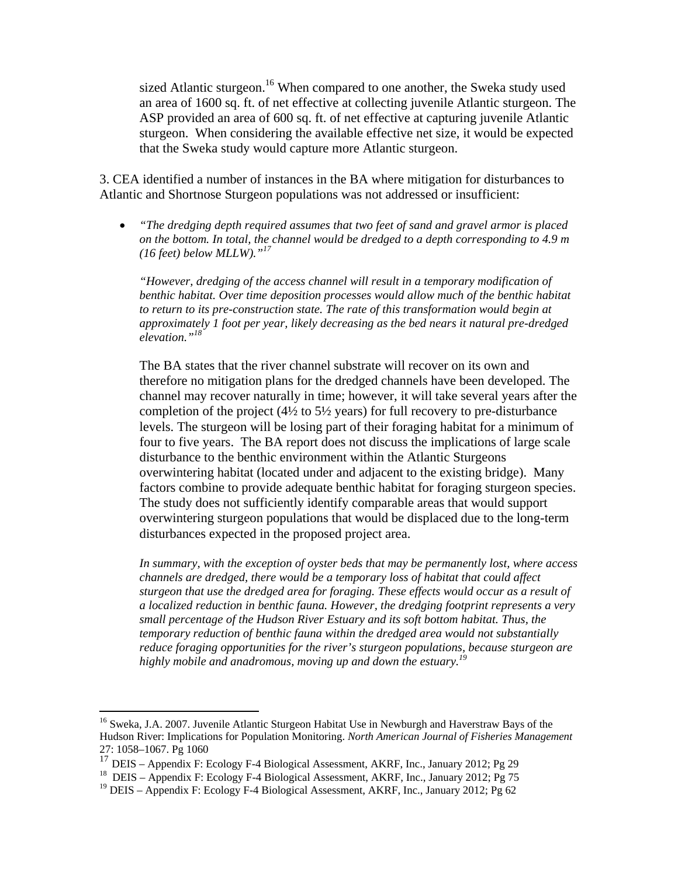sized Atlantic sturgeon.<sup>16</sup> When compared to one another, the Sweka study used an area of 1600 sq. ft. of net effective at collecting juvenile Atlantic sturgeon. The ASP provided an area of 600 sq. ft. of net effective at capturing juvenile Atlantic sturgeon. When considering the available effective net size, it would be expected that the Sweka study would capture more Atlantic sturgeon.

3. CEA identified a number of instances in the BA where mitigation for disturbances to Atlantic and Shortnose Sturgeon populations was not addressed or insufficient:

 *"The dredging depth required assumes that two feet of sand and gravel armor is placed on the bottom. In total, the channel would be dredged to a depth corresponding to 4.9 m (16 feet) below MLLW)."<sup>17</sup>*

*"However, dredging of the access channel will result in a temporary modification of benthic habitat. Over time deposition processes would allow much of the benthic habitat to return to its pre-construction state. The rate of this transformation would begin at approximately 1 foot per year, likely decreasing as the bed nears it natural pre-dredged elevation."18*

The BA states that the river channel substrate will recover on its own and therefore no mitigation plans for the dredged channels have been developed. The channel may recover naturally in time; however, it will take several years after the completion of the project  $(4\frac{1}{2})$  to  $5\frac{1}{2}$  years) for full recovery to pre-disturbance levels. The sturgeon will be losing part of their foraging habitat for a minimum of four to five years. The BA report does not discuss the implications of large scale disturbance to the benthic environment within the Atlantic Sturgeons overwintering habitat (located under and adjacent to the existing bridge). Many factors combine to provide adequate benthic habitat for foraging sturgeon species. The study does not sufficiently identify comparable areas that would support overwintering sturgeon populations that would be displaced due to the long-term disturbances expected in the proposed project area.

*In summary, with the exception of oyster beds that may be permanently lost, where access channels are dredged, there would be a temporary loss of habitat that could affect sturgeon that use the dredged area for foraging. These effects would occur as a result of a localized reduction in benthic fauna. However, the dredging footprint represents a very small percentage of the Hudson River Estuary and its soft bottom habitat. Thus, the temporary reduction of benthic fauna within the dredged area would not substantially reduce foraging opportunities for the river's sturgeon populations, because sturgeon are highly mobile and anadromous, moving up and down the estuary.<sup>19</sup>*

 $\overline{a}$ 

<sup>&</sup>lt;sup>16</sup> Sweka, J.A. 2007. Juvenile Atlantic Sturgeon Habitat Use in Newburgh and Haverstraw Bays of the Hudson River: Implications for Population Monitoring. *North American Journal of Fisheries Management*  27: 1058–1067. Pg 1060

<sup>17</sup> DEIS – Appendix F: Ecology F-4 Biological Assessment, AKRF, Inc., January 2012; Pg 29<br><sup>18</sup> DEIS – Appendix F: Ecology F-4 Biological Assessment, AKRF, Inc., January 2012; Pg 75

<sup>&</sup>lt;sup>19</sup> DEIS – Appendix F: Ecology F-4 Biological Assessment, AKRF, Inc., January 2012; Pg 62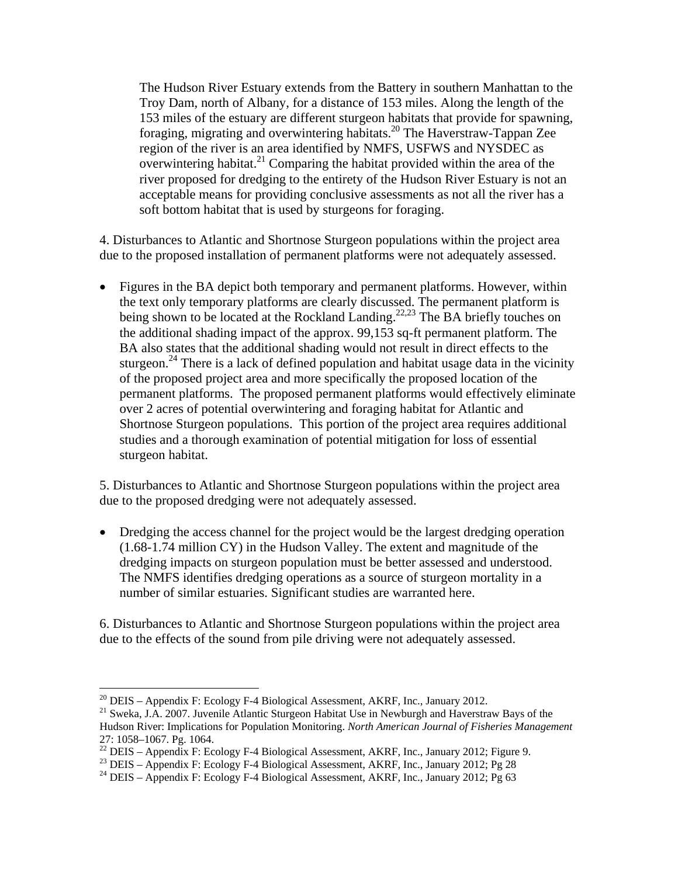The Hudson River Estuary extends from the Battery in southern Manhattan to the Troy Dam, north of Albany, for a distance of 153 miles. Along the length of the 153 miles of the estuary are different sturgeon habitats that provide for spawning, foraging, migrating and overwintering habitats.20 The Haverstraw-Tappan Zee region of the river is an area identified by NMFS, USFWS and NYSDEC as overwintering habitat.<sup>21</sup> Comparing the habitat provided within the area of the river proposed for dredging to the entirety of the Hudson River Estuary is not an acceptable means for providing conclusive assessments as not all the river has a soft bottom habitat that is used by sturgeons for foraging.

4. Disturbances to Atlantic and Shortnose Sturgeon populations within the project area due to the proposed installation of permanent platforms were not adequately assessed.

• Figures in the BA depict both temporary and permanent platforms. However, within the text only temporary platforms are clearly discussed. The permanent platform is being shown to be located at the Rockland Landing.<sup>22,23</sup> The BA briefly touches on the additional shading impact of the approx. 99,153 sq-ft permanent platform. The BA also states that the additional shading would not result in direct effects to the sturgeon.<sup>24</sup> There is a lack of defined population and habitat usage data in the vicinity of the proposed project area and more specifically the proposed location of the permanent platforms. The proposed permanent platforms would effectively eliminate over 2 acres of potential overwintering and foraging habitat for Atlantic and Shortnose Sturgeon populations. This portion of the project area requires additional studies and a thorough examination of potential mitigation for loss of essential sturgeon habitat.

5. Disturbances to Atlantic and Shortnose Sturgeon populations within the project area due to the proposed dredging were not adequately assessed.

• Dredging the access channel for the project would be the largest dredging operation (1.68-1.74 million CY) in the Hudson Valley. The extent and magnitude of the dredging impacts on sturgeon population must be better assessed and understood. The NMFS identifies dredging operations as a source of sturgeon mortality in a number of similar estuaries. Significant studies are warranted here.

6. Disturbances to Atlantic and Shortnose Sturgeon populations within the project area due to the effects of the sound from pile driving were not adequately assessed.

1

 $^{20}$  DEIS – Appendix F: Ecology F-4 Biological Assessment, AKRF, Inc., January 2012.

<sup>&</sup>lt;sup>21</sup> Sweka, J.A. 2007. Juvenile Atlantic Sturgeon Habitat Use in Newburgh and Haverstraw Bays of the Hudson River: Implications for Population Monitoring. *North American Journal of Fisheries Management*  27: 1058–1067. Pg. 1064.

 $^{22}$  DEIS – Appendix F: Ecology F-4 Biological Assessment, AKRF, Inc., January 2012; Figure 9.

<sup>&</sup>lt;sup>23</sup> DEIS – Appendix F: Ecology F-4 Biological Assessment, AKRF, Inc., January 2012; Pg 28

<sup>&</sup>lt;sup>24</sup> DEIS – Appendix F: Ecology F-4 Biological Assessment, AKRF, Inc., January 2012; Pg 63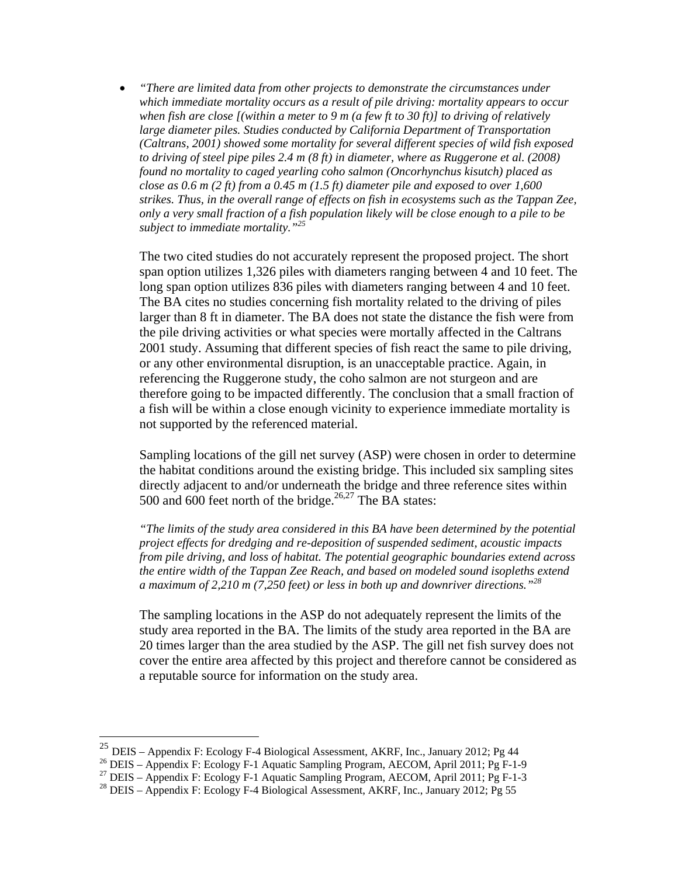*"There are limited data from other projects to demonstrate the circumstances under which immediate mortality occurs as a result of pile driving: mortality appears to occur when fish are close [(within a meter to 9 m (a few ft to 30 ft)] to driving of relatively large diameter piles. Studies conducted by California Department of Transportation (Caltrans, 2001) showed some mortality for several different species of wild fish exposed to driving of steel pipe piles 2.4 m (8 ft) in diameter, where as Ruggerone et al. (2008) found no mortality to caged yearling coho salmon (Oncorhynchus kisutch) placed as close as 0.6 m (2 ft) from a 0.45 m (1.5 ft) diameter pile and exposed to over 1,600 strikes. Thus, in the overall range of effects on fish in ecosystems such as the Tappan Zee, only a very small fraction of a fish population likely will be close enough to a pile to be subject to immediate mortality."25*

The two cited studies do not accurately represent the proposed project. The short span option utilizes 1,326 piles with diameters ranging between 4 and 10 feet. The long span option utilizes 836 piles with diameters ranging between 4 and 10 feet. The BA cites no studies concerning fish mortality related to the driving of piles larger than 8 ft in diameter. The BA does not state the distance the fish were from the pile driving activities or what species were mortally affected in the Caltrans 2001 study. Assuming that different species of fish react the same to pile driving, or any other environmental disruption, is an unacceptable practice. Again, in referencing the Ruggerone study, the coho salmon are not sturgeon and are therefore going to be impacted differently. The conclusion that a small fraction of a fish will be within a close enough vicinity to experience immediate mortality is not supported by the referenced material.

Sampling locations of the gill net survey (ASP) were chosen in order to determine the habitat conditions around the existing bridge. This included six sampling sites directly adjacent to and/or underneath the bridge and three reference sites within 500 and 600 feet north of the bridge.<sup>26,27</sup> The BA states:

*"The limits of the study area considered in this BA have been determined by the potential project effects for dredging and re-deposition of suspended sediment, acoustic impacts from pile driving, and loss of habitat. The potential geographic boundaries extend across the entire width of the Tappan Zee Reach, and based on modeled sound isopleths extend a maximum of 2,210 m (7,250 feet) or less in both up and downriver directions."<sup>28</sup>*

The sampling locations in the ASP do not adequately represent the limits of the study area reported in the BA. The limits of the study area reported in the BA are 20 times larger than the area studied by the ASP. The gill net fish survey does not cover the entire area affected by this project and therefore cannot be considered as a reputable source for information on the study area.

 $\overline{a}$ 

<sup>&</sup>lt;sup>25</sup> DEIS – Appendix F: Ecology F-4 Biological Assessment, AKRF, Inc., January 2012; Pg 44<br><sup>26</sup> DEIS – Appendix F: Ecology F-1 Aquatic Sampling Program, AECOM, April 2011; Pg F-1-9

<sup>27</sup> DEIS – Appendix F: Ecology F-1 Aquatic Sampling Program, AECOM, April 2011; Pg F-1-3

<sup>&</sup>lt;sup>28</sup> DEIS – Appendix F: Ecology F-4 Biological Assessment, AKRF, Inc., January 2012; Pg 55